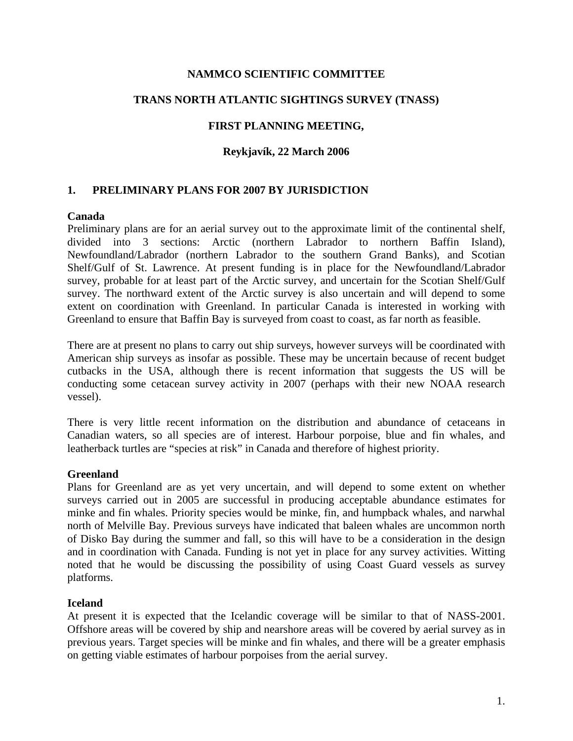### **NAMMCO SCIENTIFIC COMMITTEE**

## **TRANS NORTH ATLANTIC SIGHTINGS SURVEY (TNASS)**

## **FIRST PLANNING MEETING,**

### **Reykjavík, 22 March 2006**

### **1. PRELIMINARY PLANS FOR 2007 BY JURISDICTION**

#### **Canada**

Preliminary plans are for an aerial survey out to the approximate limit of the continental shelf, divided into 3 sections: Arctic (northern Labrador to northern Baffin Island), Newfoundland/Labrador (northern Labrador to the southern Grand Banks), and Scotian Shelf/Gulf of St. Lawrence. At present funding is in place for the Newfoundland/Labrador survey, probable for at least part of the Arctic survey, and uncertain for the Scotian Shelf/Gulf survey. The northward extent of the Arctic survey is also uncertain and will depend to some extent on coordination with Greenland. In particular Canada is interested in working with Greenland to ensure that Baffin Bay is surveyed from coast to coast, as far north as feasible.

There are at present no plans to carry out ship surveys, however surveys will be coordinated with American ship surveys as insofar as possible. These may be uncertain because of recent budget cutbacks in the USA, although there is recent information that suggests the US will be conducting some cetacean survey activity in 2007 (perhaps with their new NOAA research vessel).

There is very little recent information on the distribution and abundance of cetaceans in Canadian waters, so all species are of interest. Harbour porpoise, blue and fin whales, and leatherback turtles are "species at risk" in Canada and therefore of highest priority.

#### **Greenland**

Plans for Greenland are as yet very uncertain, and will depend to some extent on whether surveys carried out in 2005 are successful in producing acceptable abundance estimates for minke and fin whales. Priority species would be minke, fin, and humpback whales, and narwhal north of Melville Bay. Previous surveys have indicated that baleen whales are uncommon north of Disko Bay during the summer and fall, so this will have to be a consideration in the design and in coordination with Canada. Funding is not yet in place for any survey activities. Witting noted that he would be discussing the possibility of using Coast Guard vessels as survey platforms.

#### **Iceland**

At present it is expected that the Icelandic coverage will be similar to that of NASS-2001. Offshore areas will be covered by ship and nearshore areas will be covered by aerial survey as in previous years. Target species will be minke and fin whales, and there will be a greater emphasis on getting viable estimates of harbour porpoises from the aerial survey.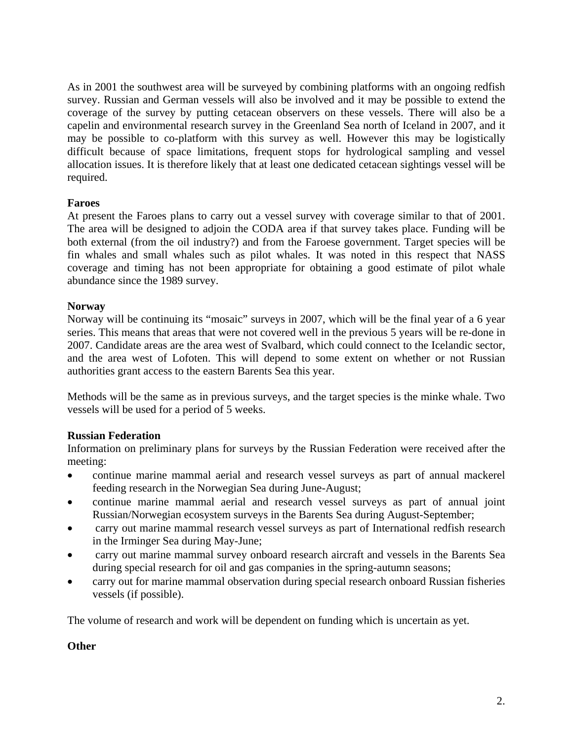As in 2001 the southwest area will be surveyed by combining platforms with an ongoing redfish survey. Russian and German vessels will also be involved and it may be possible to extend the coverage of the survey by putting cetacean observers on these vessels. There will also be a capelin and environmental research survey in the Greenland Sea north of Iceland in 2007, and it may be possible to co-platform with this survey as well. However this may be logistically difficult because of space limitations, frequent stops for hydrological sampling and vessel allocation issues. It is therefore likely that at least one dedicated cetacean sightings vessel will be required.

### **Faroes**

At present the Faroes plans to carry out a vessel survey with coverage similar to that of 2001. The area will be designed to adjoin the CODA area if that survey takes place. Funding will be both external (from the oil industry?) and from the Faroese government. Target species will be fin whales and small whales such as pilot whales. It was noted in this respect that NASS coverage and timing has not been appropriate for obtaining a good estimate of pilot whale abundance since the 1989 survey.

### **Norway**

Norway will be continuing its "mosaic" surveys in 2007, which will be the final year of a 6 year series. This means that areas that were not covered well in the previous 5 years will be re-done in 2007. Candidate areas are the area west of Svalbard, which could connect to the Icelandic sector, and the area west of Lofoten. This will depend to some extent on whether or not Russian authorities grant access to the eastern Barents Sea this year.

Methods will be the same as in previous surveys, and the target species is the minke whale. Two vessels will be used for a period of 5 weeks.

### **Russian Federation**

Information on preliminary plans for surveys by the Russian Federation were received after the meeting:

- continue marine mammal aerial and research vessel surveys as part of annual mackerel feeding research in the Norwegian Sea during June-August;
- continue marine mammal aerial and research vessel surveys as part of annual joint Russian/Norwegian ecosystem surveys in the Barents Sea during August-September;
- carry out marine mammal research vessel surveys as part of International redfish research in the Irminger Sea during May-June;
- carry out marine mammal survey onboard research aircraft and vessels in the Barents Sea during special research for oil and gas companies in the spring-autumn seasons;
- carry out for marine mammal observation during special research onboard Russian fisheries vessels (if possible).

The volume of research and work will be dependent on funding which is uncertain as yet.

### **Other**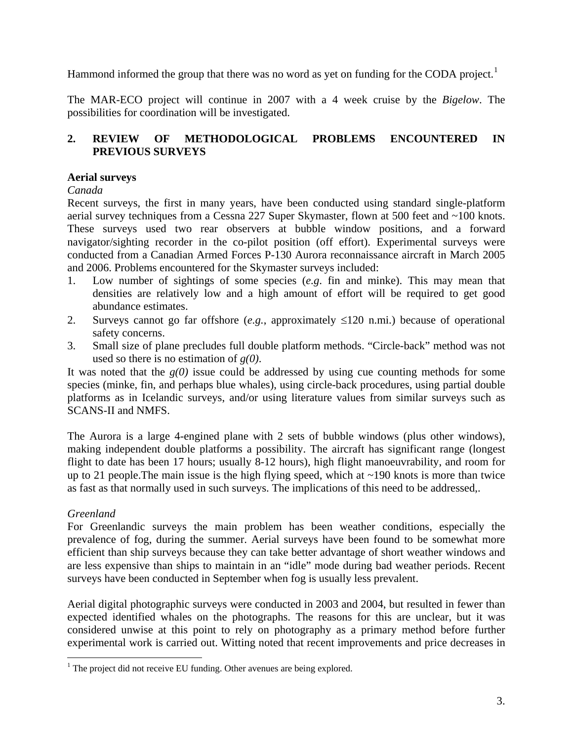Hammond informed the group that there was no word as yet on funding for the CODA project.<sup>[1](#page-2-0)</sup>

The MAR-ECO project will continue in 2007 with a 4 week cruise by the *Bigelow*. The possibilities for coordination will be investigated.

# **2. REVIEW OF METHODOLOGICAL PROBLEMS ENCOUNTERED IN PREVIOUS SURVEYS**

# **Aerial surveys**

## *Canada*

Recent surveys, the first in many years, have been conducted using standard single-platform aerial survey techniques from a Cessna 227 Super Skymaster, flown at 500 feet and ~100 knots. These surveys used two rear observers at bubble window positions, and a forward navigator/sighting recorder in the co-pilot position (off effort). Experimental surveys were conducted from a Canadian Armed Forces P-130 Aurora reconnaissance aircraft in March 2005 and 2006. Problems encountered for the Skymaster surveys included:

- 1. Low number of sightings of some species (*e.g*. fin and minke). This may mean that densities are relatively low and a high amount of effort will be required to get good abundance estimates.
- 2. Surveys cannot go far offshore (*e.g.*, approximately ≤120 n.mi.) because of operational safety concerns.
- 3. Small size of plane precludes full double platform methods. "Circle-back" method was not used so there is no estimation of *g(0)*.

It was noted that the  $g(0)$  issue could be addressed by using cue counting methods for some species (minke, fin, and perhaps blue whales), using circle-back procedures, using partial double platforms as in Icelandic surveys, and/or using literature values from similar surveys such as SCANS-II and NMFS.

The Aurora is a large 4-engined plane with 2 sets of bubble windows (plus other windows), making independent double platforms a possibility. The aircraft has significant range (longest flight to date has been 17 hours; usually 8-12 hours), high flight manoeuvrability, and room for up to 21 people. The main issue is the high flying speed, which at  $\sim$ 190 knots is more than twice as fast as that normally used in such surveys. The implications of this need to be addressed,.

# *Greenland*

 $\overline{a}$ 

For Greenlandic surveys the main problem has been weather conditions, especially the prevalence of fog, during the summer. Aerial surveys have been found to be somewhat more efficient than ship surveys because they can take better advantage of short weather windows and are less expensive than ships to maintain in an "idle" mode during bad weather periods. Recent surveys have been conducted in September when fog is usually less prevalent.

Aerial digital photographic surveys were conducted in 2003 and 2004, but resulted in fewer than expected identified whales on the photographs. The reasons for this are unclear, but it was considered unwise at this point to rely on photography as a primary method before further experimental work is carried out. Witting noted that recent improvements and price decreases in

<span id="page-2-0"></span><sup>&</sup>lt;sup>1</sup> The project did not receive EU funding. Other avenues are being explored.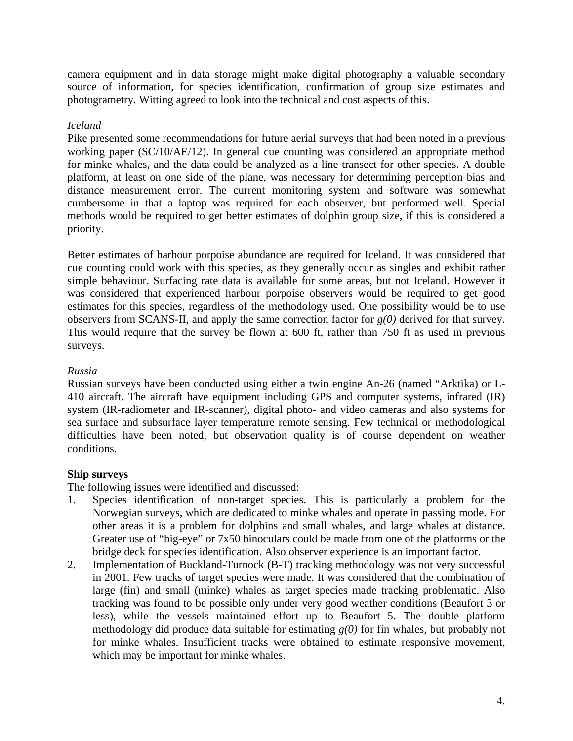camera equipment and in data storage might make digital photography a valuable secondary source of information, for species identification, confirmation of group size estimates and photogrametry. Witting agreed to look into the technical and cost aspects of this.

## *Iceland*

Pike presented some recommendations for future aerial surveys that had been noted in a previous working paper (SC/10/AE/12). In general cue counting was considered an appropriate method for minke whales, and the data could be analyzed as a line transect for other species. A double platform, at least on one side of the plane, was necessary for determining perception bias and distance measurement error. The current monitoring system and software was somewhat cumbersome in that a laptop was required for each observer, but performed well. Special methods would be required to get better estimates of dolphin group size, if this is considered a priority.

Better estimates of harbour porpoise abundance are required for Iceland. It was considered that cue counting could work with this species, as they generally occur as singles and exhibit rather simple behaviour. Surfacing rate data is available for some areas, but not Iceland. However it was considered that experienced harbour porpoise observers would be required to get good estimates for this species, regardless of the methodology used. One possibility would be to use observers from SCANS-II, and apply the same correction factor for *g(0)* derived for that survey. This would require that the survey be flown at 600 ft, rather than 750 ft as used in previous surveys.

## *Russia*

Russian surveys have been conducted using either a twin engine An-26 (named "Arktika) or L-410 aircraft. The aircraft have equipment including GPS and computer systems, infrared (IR) system (IR-radiometer and IR-scanner), digital photo- and video cameras and also systems for sea surface and subsurface layer temperature remote sensing. Few technical or methodological difficulties have been noted, but observation quality is of course dependent on weather conditions.

### **Ship surveys**

The following issues were identified and discussed:

- 1. Species identification of non-target species. This is particularly a problem for the Norwegian surveys, which are dedicated to minke whales and operate in passing mode. For other areas it is a problem for dolphins and small whales, and large whales at distance. Greater use of "big-eye" or 7x50 binoculars could be made from one of the platforms or the bridge deck for species identification. Also observer experience is an important factor.
- 2. Implementation of Buckland-Turnock (B-T) tracking methodology was not very successful in 2001. Few tracks of target species were made. It was considered that the combination of large (fin) and small (minke) whales as target species made tracking problematic. Also tracking was found to be possible only under very good weather conditions (Beaufort 3 or less), while the vessels maintained effort up to Beaufort 5. The double platform methodology did produce data suitable for estimating *g(0)* for fin whales, but probably not for minke whales. Insufficient tracks were obtained to estimate responsive movement, which may be important for minke whales.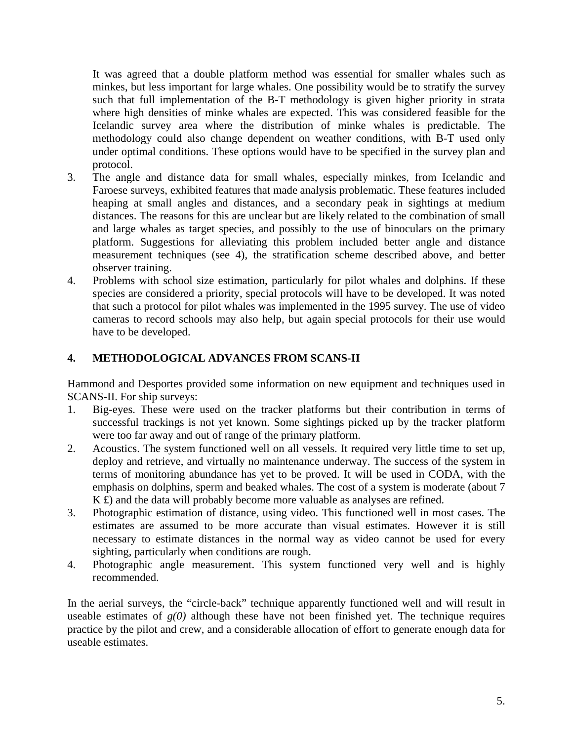It was agreed that a double platform method was essential for smaller whales such as minkes, but less important for large whales. One possibility would be to stratify the survey such that full implementation of the B-T methodology is given higher priority in strata where high densities of minke whales are expected. This was considered feasible for the Icelandic survey area where the distribution of minke whales is predictable. The methodology could also change dependent on weather conditions, with B-T used only under optimal conditions. These options would have to be specified in the survey plan and protocol.

- 3. The angle and distance data for small whales, especially minkes, from Icelandic and Faroese surveys, exhibited features that made analysis problematic. These features included heaping at small angles and distances, and a secondary peak in sightings at medium distances. The reasons for this are unclear but are likely related to the combination of small and large whales as target species, and possibly to the use of binoculars on the primary platform. Suggestions for alleviating this problem included better angle and distance measurement techniques (see 4), the stratification scheme described above, and better observer training.
- 4. Problems with school size estimation, particularly for pilot whales and dolphins. If these species are considered a priority, special protocols will have to be developed. It was noted that such a protocol for pilot whales was implemented in the 1995 survey. The use of video cameras to record schools may also help, but again special protocols for their use would have to be developed.

# **4. METHODOLOGICAL ADVANCES FROM SCANS-II**

Hammond and Desportes provided some information on new equipment and techniques used in SCANS-II. For ship surveys:

- 1. Big-eyes. These were used on the tracker platforms but their contribution in terms of successful trackings is not yet known. Some sightings picked up by the tracker platform were too far away and out of range of the primary platform.
- 2. Acoustics. The system functioned well on all vessels. It required very little time to set up, deploy and retrieve, and virtually no maintenance underway. The success of the system in terms of monitoring abundance has yet to be proved. It will be used in CODA, with the emphasis on dolphins, sperm and beaked whales. The cost of a system is moderate (about 7 K £) and the data will probably become more valuable as analyses are refined.
- 3. Photographic estimation of distance, using video. This functioned well in most cases. The estimates are assumed to be more accurate than visual estimates. However it is still necessary to estimate distances in the normal way as video cannot be used for every sighting, particularly when conditions are rough.
- 4. Photographic angle measurement. This system functioned very well and is highly recommended.

In the aerial surveys, the "circle-back" technique apparently functioned well and will result in useable estimates of  $g(0)$  although these have not been finished yet. The technique requires practice by the pilot and crew, and a considerable allocation of effort to generate enough data for useable estimates.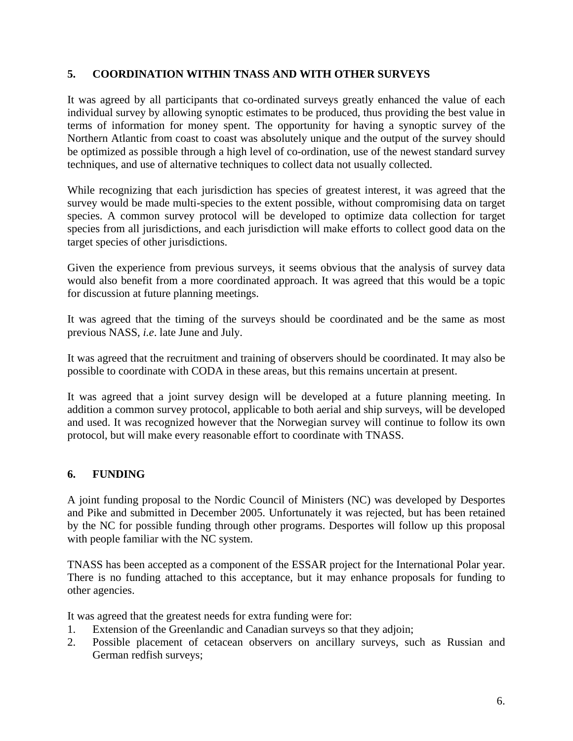# **5. COORDINATION WITHIN TNASS AND WITH OTHER SURVEYS**

It was agreed by all participants that co-ordinated surveys greatly enhanced the value of each individual survey by allowing synoptic estimates to be produced, thus providing the best value in terms of information for money spent. The opportunity for having a synoptic survey of the Northern Atlantic from coast to coast was absolutely unique and the output of the survey should be optimized as possible through a high level of co-ordination, use of the newest standard survey techniques, and use of alternative techniques to collect data not usually collected.

While recognizing that each jurisdiction has species of greatest interest, it was agreed that the survey would be made multi-species to the extent possible, without compromising data on target species. A common survey protocol will be developed to optimize data collection for target species from all jurisdictions, and each jurisdiction will make efforts to collect good data on the target species of other jurisdictions.

Given the experience from previous surveys, it seems obvious that the analysis of survey data would also benefit from a more coordinated approach. It was agreed that this would be a topic for discussion at future planning meetings.

It was agreed that the timing of the surveys should be coordinated and be the same as most previous NASS, *i.e*. late June and July.

It was agreed that the recruitment and training of observers should be coordinated. It may also be possible to coordinate with CODA in these areas, but this remains uncertain at present.

It was agreed that a joint survey design will be developed at a future planning meeting. In addition a common survey protocol, applicable to both aerial and ship surveys, will be developed and used. It was recognized however that the Norwegian survey will continue to follow its own protocol, but will make every reasonable effort to coordinate with TNASS.

# **6. FUNDING**

A joint funding proposal to the Nordic Council of Ministers (NC) was developed by Desportes and Pike and submitted in December 2005. Unfortunately it was rejected, but has been retained by the NC for possible funding through other programs. Desportes will follow up this proposal with people familiar with the NC system.

TNASS has been accepted as a component of the ESSAR project for the International Polar year. There is no funding attached to this acceptance, but it may enhance proposals for funding to other agencies.

It was agreed that the greatest needs for extra funding were for:

- 1. Extension of the Greenlandic and Canadian surveys so that they adjoin;
- 2. Possible placement of cetacean observers on ancillary surveys, such as Russian and German redfish surveys;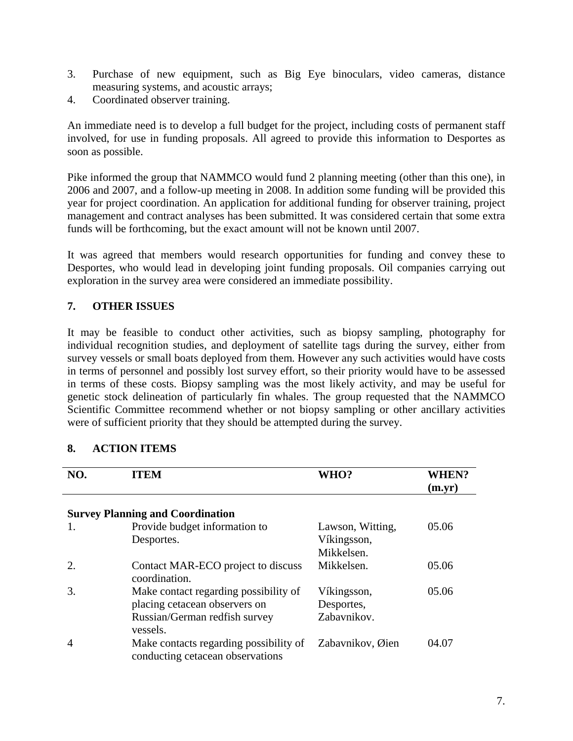- 3. Purchase of new equipment, such as Big Eye binoculars, video cameras, distance measuring systems, and acoustic arrays;
- 4. Coordinated observer training.

An immediate need is to develop a full budget for the project, including costs of permanent staff involved, for use in funding proposals. All agreed to provide this information to Desportes as soon as possible.

Pike informed the group that NAMMCO would fund 2 planning meeting (other than this one), in 2006 and 2007, and a follow-up meeting in 2008. In addition some funding will be provided this year for project coordination. An application for additional funding for observer training, project management and contract analyses has been submitted. It was considered certain that some extra funds will be forthcoming, but the exact amount will not be known until 2007.

It was agreed that members would research opportunities for funding and convey these to Desportes, who would lead in developing joint funding proposals. Oil companies carrying out exploration in the survey area were considered an immediate possibility.

# **7. OTHER ISSUES**

It may be feasible to conduct other activities, such as biopsy sampling, photography for individual recognition studies, and deployment of satellite tags during the survey, either from survey vessels or small boats deployed from them. However any such activities would have costs in terms of personnel and possibly lost survey effort, so their priority would have to be assessed in terms of these costs. Biopsy sampling was the most likely activity, and may be useful for genetic stock delineation of particularly fin whales. The group requested that the NAMMCO Scientific Committee recommend whether or not biopsy sampling or other ancillary activities were of sufficient priority that they should be attempted during the survey.

| NO.            | ITEM                                                                       | <b>WHO?</b>      | <b>WHEN?</b><br>$(m.\text{yr})$ |
|----------------|----------------------------------------------------------------------------|------------------|---------------------------------|
|                | <b>Survey Planning and Coordination</b>                                    |                  |                                 |
| 1.             | Provide budget information to                                              | Lawson, Witting, | 05.06                           |
|                | Desportes.                                                                 | Víkingsson,      |                                 |
|                |                                                                            | Mikkelsen.       |                                 |
| 2.             | Contact MAR-ECO project to discuss<br>coordination.                        | Mikkelsen.       | 05.06                           |
| 3.             | Make contact regarding possibility of                                      | Víkingsson,      | 05.06                           |
|                | placing cetacean observers on                                              | Desportes,       |                                 |
|                | Russian/German redfish survey                                              | Zabavnikov.      |                                 |
|                | vessels.                                                                   |                  |                                 |
| $\overline{A}$ | Make contacts regarding possibility of<br>conducting cetacean observations | Zabavnikov, Øien | 04.07                           |

### **8. ACTION ITEMS**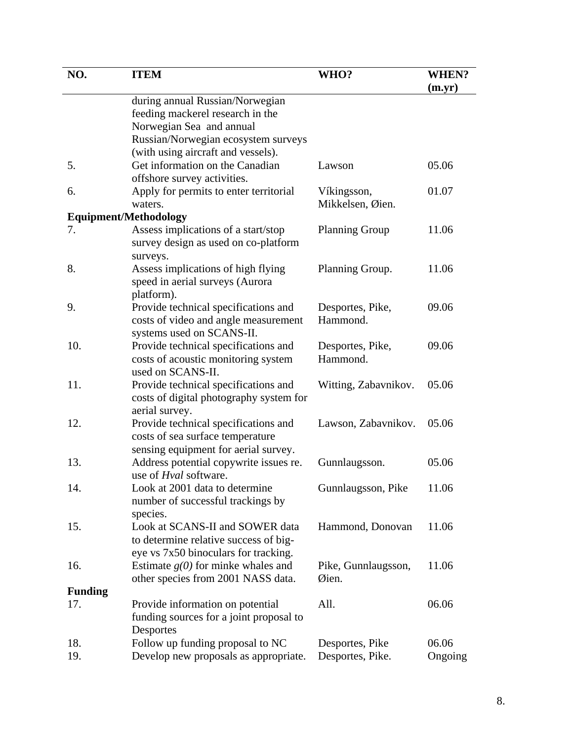| NO.            | <b>ITEM</b>                                                                 | WHO?                         | WHEN?   |
|----------------|-----------------------------------------------------------------------------|------------------------------|---------|
|                |                                                                             |                              | (m.yr)  |
|                | during annual Russian/Norwegian                                             |                              |         |
|                | feeding mackerel research in the                                            |                              |         |
|                | Norwegian Sea and annual                                                    |                              |         |
|                | Russian/Norwegian ecosystem surveys                                         |                              |         |
|                | (with using aircraft and vessels).                                          |                              |         |
| 5.             | Get information on the Canadian                                             | Lawson                       | 05.06   |
|                | offshore survey activities.                                                 |                              |         |
| 6.             | Apply for permits to enter territorial                                      | Víkingsson,                  | 01.07   |
|                | waters.                                                                     | Mikkelsen, Øien.             |         |
|                | <b>Equipment/Methodology</b>                                                |                              |         |
| 7.             | Assess implications of a start/stop                                         | <b>Planning Group</b>        | 11.06   |
|                | survey design as used on co-platform                                        |                              |         |
|                | surveys.                                                                    |                              |         |
| 8.             | Assess implications of high flying                                          | Planning Group.              | 11.06   |
|                | speed in aerial surveys (Aurora                                             |                              |         |
|                | platform).                                                                  |                              | 09.06   |
| 9.             | Provide technical specifications and                                        | Desportes, Pike,<br>Hammond. |         |
|                | costs of video and angle measurement                                        |                              |         |
| 10.            | systems used on SCANS-II.                                                   |                              | 09.06   |
|                | Provide technical specifications and<br>costs of acoustic monitoring system | Desportes, Pike,<br>Hammond. |         |
|                | used on SCANS-II.                                                           |                              |         |
| 11.            | Provide technical specifications and                                        | Witting, Zabavnikov.         | 05.06   |
|                | costs of digital photography system for                                     |                              |         |
|                | aerial survey.                                                              |                              |         |
| 12.            | Provide technical specifications and                                        | Lawson, Zabavnikov.          | 05.06   |
|                | costs of sea surface temperature                                            |                              |         |
|                | sensing equipment for aerial survey.                                        |                              |         |
| 13.            | Address potential copywrite issues re.                                      | Gunnlaugsson.                | 05.06   |
|                | use of <i>Hval</i> software.                                                |                              |         |
| 14.            | Look at 2001 data to determine                                              | Gunnlaugsson, Pike           | 11.06   |
|                | number of successful trackings by                                           |                              |         |
|                | species.                                                                    |                              |         |
| 15.            | Look at SCANS-II and SOWER data                                             | Hammond, Donovan             | 11.06   |
|                | to determine relative success of big-                                       |                              |         |
|                | eye vs 7x50 binoculars for tracking.                                        |                              |         |
| 16.            | Estimate $g(0)$ for minke whales and                                        | Pike, Gunnlaugsson,          | 11.06   |
|                | other species from 2001 NASS data.                                          | Øien.                        |         |
| <b>Funding</b> |                                                                             |                              |         |
| 17.            | Provide information on potential                                            | All.                         | 06.06   |
|                | funding sources for a joint proposal to                                     |                              |         |
|                | Desportes                                                                   |                              |         |
| 18.            | Follow up funding proposal to NC                                            | Desportes, Pike              | 06.06   |
| 19.            | Develop new proposals as appropriate.                                       | Desportes, Pike.             | Ongoing |